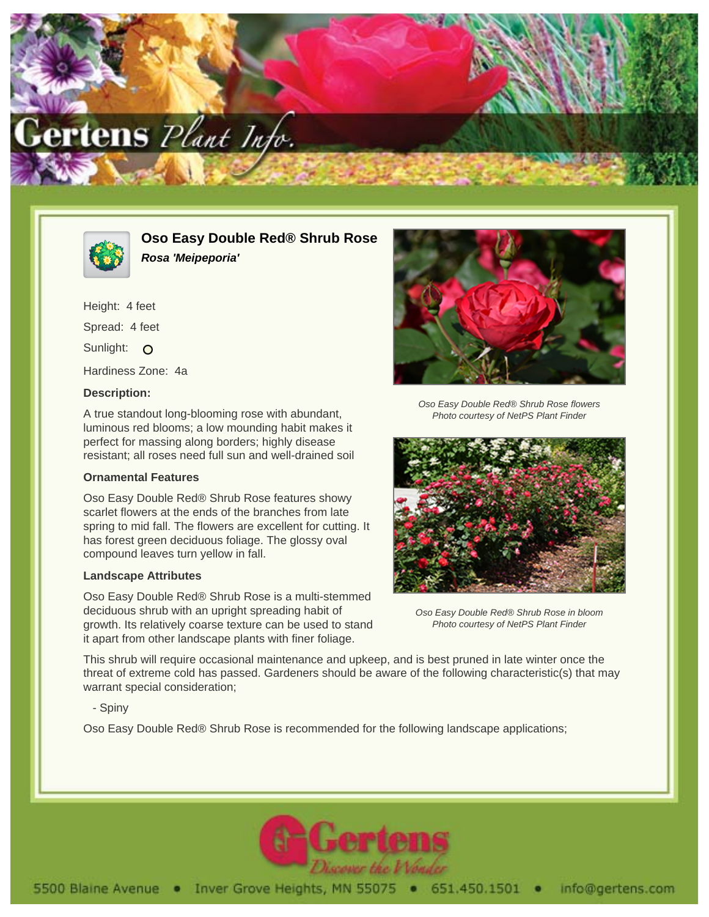



**Oso Easy Double Red® Shrub Rose Rosa 'Meipeporia'**

Height: 4 feet Spread: 4 feet Sunlight: O Hardiness Zone: 4a

# **Description:**

A true standout long-blooming rose with abundant, luminous red blooms; a low mounding habit makes it perfect for massing along borders; highly disease resistant; all roses need full sun and well-drained soil

## **Ornamental Features**

Oso Easy Double Red® Shrub Rose features showy scarlet flowers at the ends of the branches from late spring to mid fall. The flowers are excellent for cutting. It has forest green deciduous foliage. The glossy oval compound leaves turn yellow in fall.

## **Landscape Attributes**

Oso Easy Double Red® Shrub Rose is a multi-stemmed deciduous shrub with an upright spreading habit of growth. Its relatively coarse texture can be used to stand it apart from other landscape plants with finer foliage.



Oso Easy Double Red® Shrub Rose flowers Photo courtesy of NetPS Plant Finder



Oso Easy Double Red® Shrub Rose in bloom Photo courtesy of NetPS Plant Finder

This shrub will require occasional maintenance and upkeep, and is best pruned in late winter once the threat of extreme cold has passed. Gardeners should be aware of the following characteristic(s) that may warrant special consideration;

- Spiny

Oso Easy Double Red® Shrub Rose is recommended for the following landscape applications;